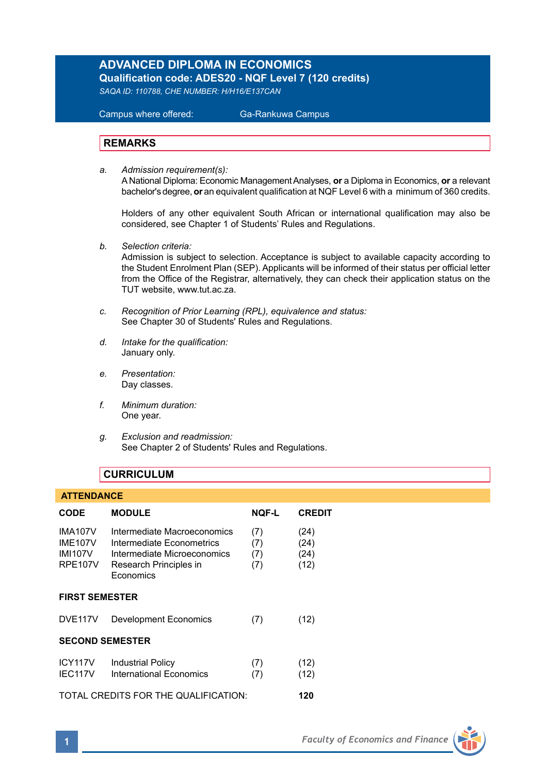# **ADVANCED DIPLOMA IN ECONOMICS Qualification code: ADES20 - NQF Level 7 (120 credits)**

*SAQA ID: 110788, CHE NUMBER: H/H16/E137CAN* 

 Campus where offered: Ga-Rankuwa Campus

## **REMARKS**

*a. Admission requirement(s):*  A National Diploma: Economic Management Analyses, **or** a Diploma in Economics, **or** a relevant bachelor's degree, **or** an equivalent qualification at NQF Level 6 with a minimum of 360 credits.

Holders of any other equivalent South African or international qualification may also be considered, see Chapter 1 of Students' Rules and Regulations.

*b. Selection criteria:*

Admission is subject to selection. Acceptance is subject to available capacity according to the Student Enrolment Plan (SEP). Applicants will be informed of their status per official letter from the Office of the Registrar, alternatively, they can check their application status on the TUT website, www.tut.ac.za.

- *c. Recognition of Prior Learning (RPL), equivalence and status:* See Chapter 30 of Students' Rules and Regulations.
- *d. Intake for the qualification:* January only.
- *e. Presentation:* Day classes.
- *f. Minimum duration:* One year.
- *g. Exclusion and readmission:* See Chapter 2 of Students' Rules and Regulations.

# **CURRICULUM**

### **ATTENDANCE**

| CODE                                                                 | <b>MODULE</b>                                                                                                                  | <b>NOF-L</b>             | <b>CREDIT</b>                |
|----------------------------------------------------------------------|--------------------------------------------------------------------------------------------------------------------------------|--------------------------|------------------------------|
| <b>IMA107V</b><br><b>IME107V</b><br><b>IMI107V</b><br><b>RPE107V</b> | Intermediate Macroeconomics<br>Intermediate Econometrics<br>Intermediate Microeconomics<br>Research Principles in<br>Economics | (7)<br>(7)<br>(7)<br>(7) | (24)<br>(24)<br>(24)<br>(12) |
| <b>FIRST SEMESTER</b>                                                |                                                                                                                                |                          |                              |
| DVE <sub>117V</sub>                                                  | <b>Development Economics</b>                                                                                                   | (7)                      | (12)                         |
| <b>SECOND SEMESTER</b>                                               |                                                                                                                                |                          |                              |
| ICY117V<br>IEC117V                                                   | <b>Industrial Policy</b><br>International Economics                                                                            | (7)<br>(7)               | (12)<br>(12)                 |
|                                                                      | TOTAL CREDITS FOR THE QUALIFICATION:                                                                                           |                          | 120                          |

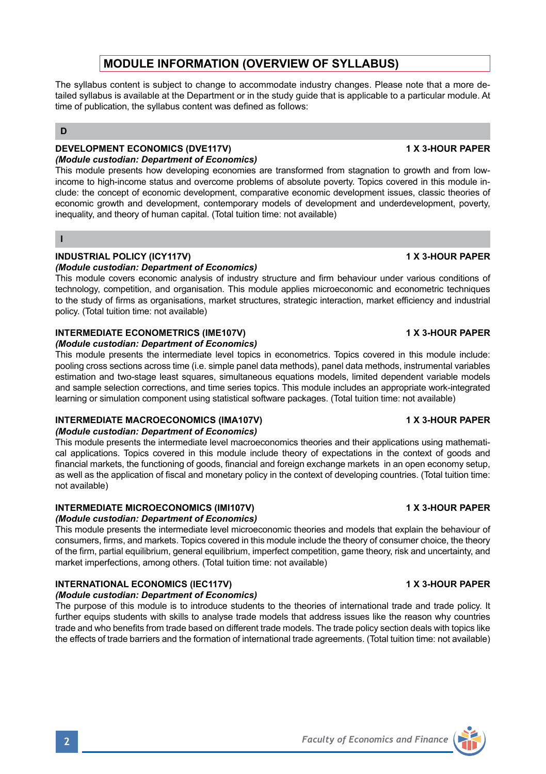# **MODULE INFORMATION (OVERVIEW OF SYLLABUS)**

The syllabus content is subject to change to accommodate industry changes. Please note that a more detailed syllabus is available at the Department or in the study guide that is applicable to a particular module. At time of publication, the syllabus content was defined as follows:

# **D**

### **DEVELOPMENT ECONOMICS (DVE117V) 1 X 3-HOUR PAPER** *(Module custodian: Department of Economics)*

This module presents how developing economies are transformed from stagnation to growth and from lowincome to high-income status and overcome problems of absolute poverty. Topics covered in this module include: the concept of economic development, comparative economic development issues, classic theories of economic growth and development, contemporary models of development and underdevelopment, poverty, inequality, and theory of human capital. (Total tuition time: not available)

### **I**

# **INDUSTRIAL POLICY (ICY117V) 1 X 3-HOUR PAPER**

## *(Module custodian: Department of Economics)*

This module covers economic analysis of industry structure and firm behaviour under various conditions of technology, competition, and organisation. This module applies microeconomic and econometric techniques to the study of firms as organisations, market structures, strategic interaction, market efficiency and industrial policy. (Total tuition time: not available)

## **INTERMEDIATE ECONOMETRICS (IME107V) 1 A 3-HOUR PAPER**

## *(Module custodian: Department of Economics)*

This module presents the intermediate level topics in econometrics. Topics covered in this module include: pooling cross sections across time (i.e. simple panel data methods), panel data methods, instrumental variables estimation and two-stage least squares, simultaneous equations models, limited dependent variable models and sample selection corrections, and time series topics. This module includes an appropriate work-integrated learning or simulation component using statistical software packages. (Total tuition time: not available)

# **INTERMEDIATE MACROECONOMICS (IMA107V) 1 X 3-HOUR PAPER**

# *(Module custodian: Department of Economics)*

This module presents the intermediate level macroeconomics theories and their applications using mathematical applications. Topics covered in this module include theory of expectations in the context of goods and financial markets, the functioning of goods, financial and foreign exchange markets in an open economy setup, as well as the application of fiscal and monetary policy in the context of developing countries. (Total tuition time: not available)

# **INTERMEDIATE MICROECONOMICS (IMI107V) 1 X 3-HOUR PAPER**

## *(Module custodian: Department of Economics)*

This module presents the intermediate level microeconomic theories and models that explain the behaviour of consumers, firms, and markets. Topics covered in this module include the theory of consumer choice, the theory of the firm, partial equilibrium, general equilibrium, imperfect competition, game theory, risk and uncertainty, and market imperfections, among others. (Total tuition time: not available)

# **INTERNATIONAL ECONOMICS (IEC117V)** 1 X 3-HOUR PAPER

## *(Module custodian: Department of Economics)*

The purpose of this module is to introduce students to the theories of international trade and trade policy. It further equips students with skills to analyse trade models that address issues like the reason why countries trade and who benefits from trade based on different trade models. The trade policy section deals with topics like the effects of trade barriers and the formation of international trade agreements. (Total tuition time: not available)